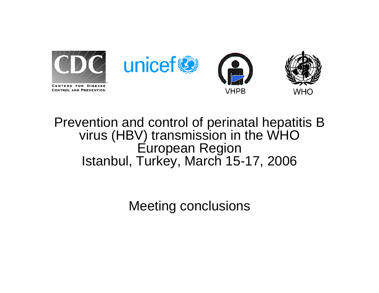

#### Prevention and control of perinatal hepatitis B virus (HBV) transmission in the WHO European Region Istanbul, Turkey, March 15-17, 2006

Meeting conclusions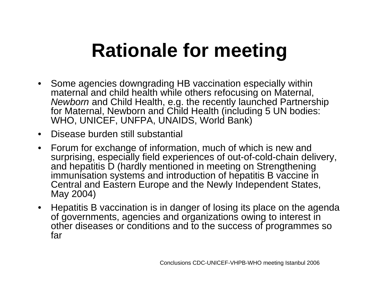# **Rationale for meeting**

- Some agencies downgrading HB vaccination especially within maternal and child health while others refocusing on Maternal, *Newborn* and Child Health, e.g. the recently launched Partnership for Maternal, Newborn and Child Health (including 5 UN bodies: WHO, UNICEF, UNFPA, UNAIDS, World Bank)
- •Disease burden still substantial
- $\bullet$  Forum for exchange of information, much of which is new and surprising, especially field experiences of out-of-cold-chain delivery, and hepatitis D (hardly mentioned in meeting on Strengthening immunisation systems and introduction of hepatitis B vaccine in Central and Eastern Europe and the Newly Independent States, May 2004)
- Hepatitis B vaccination is in danger of losing its place on the agenda of governments, agencies and organizations owing to interest in other diseases or conditions and to the success of programmes so far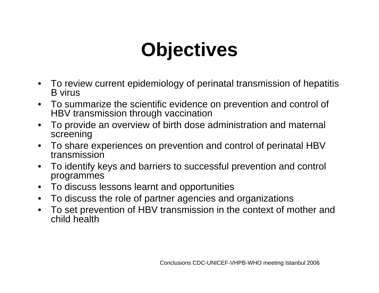# **Objectives**

- To review current epidemiology of perinatal transmission of hepatitis B virus
- To summarize the scientific evidence on prevention and control of HBV transmission through vaccination
- $\bullet$  To provide an overview of birth dose administration and maternal screening
- To share experiences on prevention and control of perinatal HBV transmission
- To identify keys and barriers to successful prevention and control programmes
- To discuss lessons learnt and opportunities
- $\bullet$ To discuss the role of partner agencies and organizations
- • To set prevention of HBV transmission in the context of mother and child health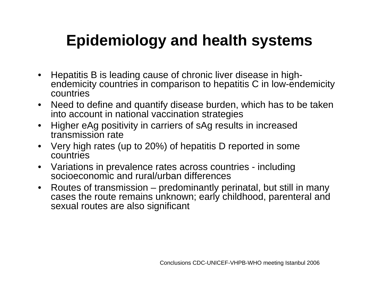#### **Epidemiology and health systems**

- $\bullet$  Hepatitis B is leading cause of chronic liver disease in highendemicity countries in comparison to hepatitis C in low-endemicity countries
- $\bullet$  Need to define and quantify disease burden, which has to be taken into account in national vaccination strategies
- $\bullet$  Higher eAg positivity in carriers of sAg results in increased transmission rate
- $\bullet$  Very high rates (up to 20%) of hepatitis D reported in some countries
- $\bullet$  Variations in prevalence rates across countries - including socioeconomic and rural/urban differences
- $\bullet$  Routes of transmission – predominantly perinatal, but still in many cases the route remains unknown; early childhood, parenteral and sexual routes are also significant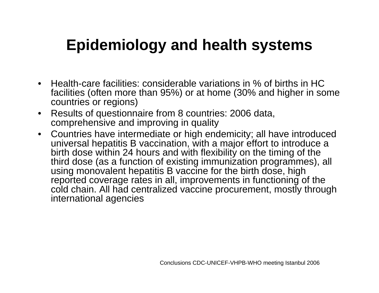#### **Epidemiology and health systems**

- Health-care facilities: considerable variations in % of births in HC facilities (often more than 95%) or at home (30% and higher in some countries or regions)
- $\bullet$  Results of questionnaire from 8 countries: 2006 data, comprehensive and improving in quality
- Countries have intermediate or high endemicity; all have introduced universal hepatitis B vaccination, with a major effort to introduce a birth dose within 24 hours and with flexibility on the timing of the third dose (as a function of existing immunization programmes), all using monovalent hepatitis B vaccine for the birth dose, high reported coverage rates in all, improvements in functioning of the cold chain. All had centralized vaccine procurement, mostly through international agencies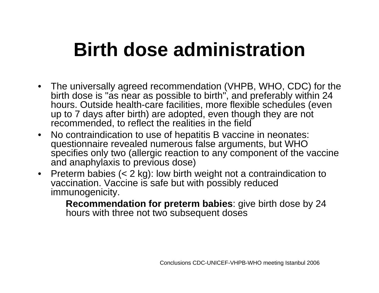### **Birth dose administration**

- The universally agreed recommendation (VHPB, WHO, CDC) for the birth dose is "as near as possible to birth", and preferably within 24 hours. Outside health-care facilities, more flexible schedules (even up to 7 days after birth) are adopted, even though they are not recommended, to reflect the realities in the field
- $\bullet$  No contraindication to use of hepatitis B vaccine in neonates: questionnaire revealed numerous false arguments, but WHO specifies only two (allergic reaction to any component of the vaccine and anaphylaxis to previous dose)
- Preterm babies (< 2 kg): low birth weight not a contraindication to vaccination. Vaccine is safe but with possibly reduced immunogenicity.

**Recommendation for preterm babies**: give birth dose by 24 hours with three not two subsequent doses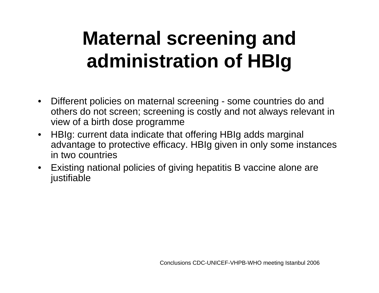# **Maternal screening and administration of HBIg**

- • Different policies on maternal screening - some countries do and others do not screen; screening is costly and not always relevant in view of a birth dose programme
- $\bullet$  HBIg: current data indicate that offering HBIg adds marginal advantage to protective efficacy. HBIg given in only some instances in two countries
- Existing national policies of giving hepatitis B vaccine alone are justifiable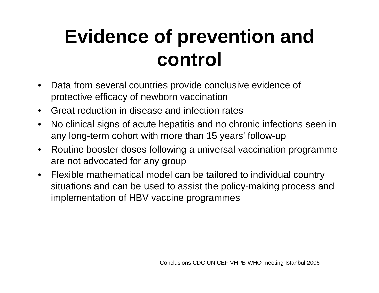### **Evidence of prevention and control**

- $\bullet$  Data from several countries provide conclusive evidence of protective efficacy of newborn vaccination
- •Great reduction in disease and infection rates
- • No clinical signs of acute hepatitis and no chronic infections seen in any long-term cohort with more than 15 years' follow-up
- $\bullet$  Routine booster doses following a universal vaccination programme are not advocated for any group
- $\bullet$  Flexible mathematical model can be tailored to individual country situations and can be used to assist the policy-making process and implementation of HBV vaccine programmes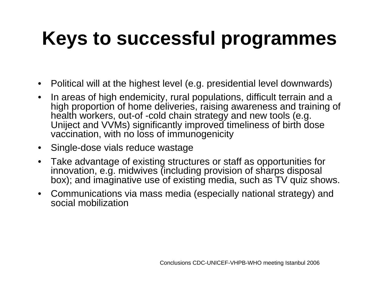## **Keys to successful programmes**

- $\bullet$ Political will at the highest level (e.g. presidential level downwards)
- • In areas of high endemicity, rural populations, difficult terrain and a high proportion of home deliveries, raising awareness and training of health workers, out-of -cold chain strategy and new tools (e.g. Uniject and VVMs) significantly improved timeliness of birth dose vaccination, with no loss of immunogenicity
- $\bullet$ Single-dose vials reduce wastage
- • Take advantage of existing structures or staff as opportunities for innovation, e.g. midwives (including provision of sharps disposal box); and imaginative use of existing media, such as TV quiz shows.
- Communications via mass media (especially national strategy) and social mobilization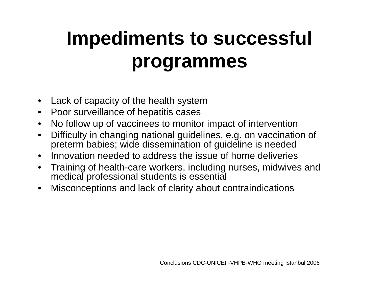# **Impediments to successful programmes**

- •Lack of capacity of the health system
- •Poor surveillance of hepatitis cases
- •No follow up of vaccinees to monitor impact of intervention
- • Difficulty in changing national guidelines, e.g. on vaccination of preterm babies; wide dissemination of guideline is needed
- •Innovation needed to address the issue of home deliveries
- $\bullet$  Training of health-care workers, including nurses, midwives and medical professional students is essential
- •Misconceptions and lack of clarity about contraindications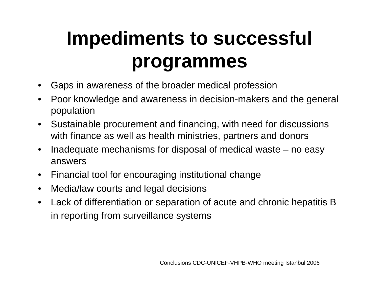# **Impediments to successful programmes**

- •Gaps in awareness of the broader medical profession
- • Poor knowledge and awareness in decision-makers and the general population
- $\bullet$  Sustainable procurement and financing, with need for discussions with finance as well as health ministries, partners and donors
- $\bullet$  Inadequate mechanisms for disposal of medical waste – no easy answers
- $\bullet$ Financial tool for encouraging institutional change
- •Media/law courts and legal decisions
- $\bullet$  Lack of differentiation or separation of acute and chronic hepatitis B in reporting from surveillance systems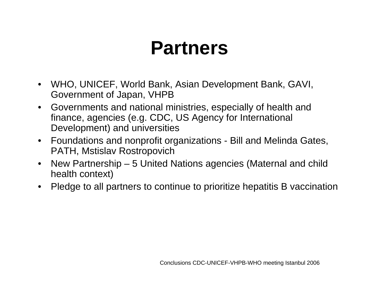#### **Partners**

- $\bullet$  WHO, UNICEF, World Bank, Asian Development Bank, GAVI, Government of Japan, VHPB
- Governments and national ministries, especially of health and finance, agencies (e.g. CDC, US Agency for International Development) and universities
- Foundations and nonprofit organizations Bill and Melinda Gates, PATH, Mstislav Rostropovich
- $\bullet$  New Partnership – 5 United Nations agencies (Maternal and child health context)
- $\bullet$ Pledge to all partners to continue to prioritize hepatitis B vaccination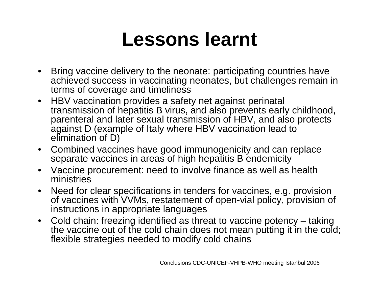#### **Lessons learnt**

- Bring vaccine delivery to the neonate: participating countries have achieved success in vaccinating neonates, but challenges remain in terms of coverage and timeliness
- HBV vaccination provides a safety net against perinatal transmission of hepatitis B virus, and also prevents early childhood, parenteral and later sexual transmission of HBV, and also protects against D (example of Italy where HBV vaccination lead to elimination of D)
- Combined vaccines have good immunogenicity and can replace separate vaccines in areas of high hepatitis B endemicity
- • Vaccine procurement: need to involve finance as well as health ministries
- • Need for clear specifications in tenders for vaccines, e.g. provision of vaccines with VVMs, restatement of open-vial policy, provision of instructions in appropriate languages
- Cold chain: freezing identified as threat to vaccine potency taking the vaccine out of the cold chain does not mean putting it in the cold; flexible strategies needed to modify cold chains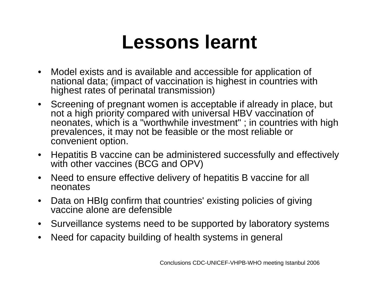#### **Lessons learnt**

- $\bullet$  Model exists and is available and accessible for application of national data; (impact of vaccination is highest in countries with highest rates of perinatal transmission)
- Screening of pregnant women is acceptable if already in place, but not a high priority compared with universal HBV vaccination of neonates, which is a "worthwhile investment" ; in countries with high prevalences, it may not be feasible or the most reliable or convenient option.
- $\bullet$  Hepatitis B vaccine can be administered successfully and effectively with other vaccines (BCG and OPV)
- $\bullet$  Need to ensure effective delivery of hepatitis B vaccine for all neonates
- $\bullet$  Data on HBIg confirm that countries' existing policies of giving vaccine alone are defensible
- $\bullet$ Surveillance systems need to be supported by laboratory systems
- •Need for capacity building of health systems in general